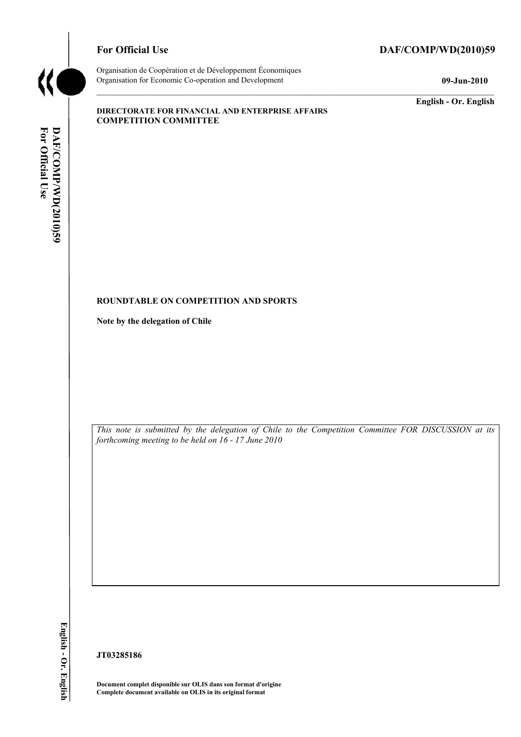

## For Official Use DAF/COMP/WD(2010)59

Organisation de Coopération et de Développement Économiques Organisation for Economic Co-operation and Development **09-Jun-2010** 

**English - Or. English** 

### **DIRECTORATE FOR FINANCIAL AND ENTERPRISE AFFAIRS COMPETITION COMMITTEE**

### **ROUNDTABLE ON COMPETITION AND SPORTS**

**Note by the delegation of Chile** 

*This note is submitted by the delegation of Chile to the Competition Committee FOR DISCUSSION at its forthcoming meeting to be held on 16 - 17 June 2010* 

English - Or. English

**JT03285186** 

**Document complet disponible sur OLIS dans son format d'origine Complete document available on OLIS in its original format**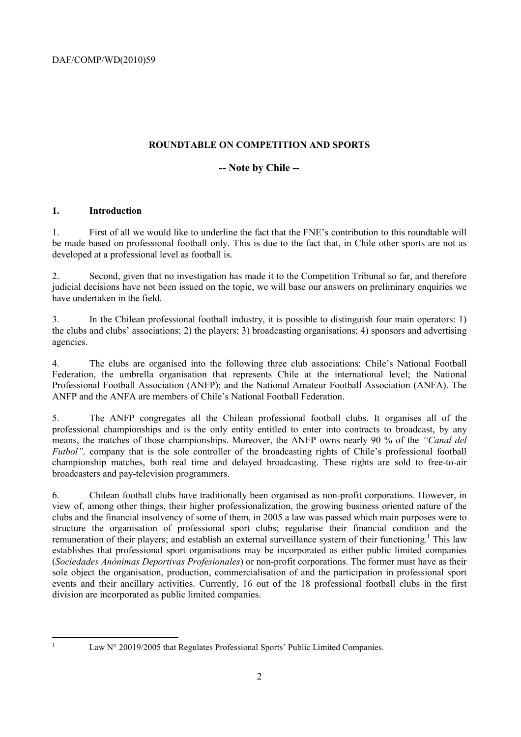# **ROUNDTABLE ON COMPETITION AND SPORTS**

# **-- Note by Chile --**

## **1. Introduction**

1. First of all we would like to underline the fact that the FNE's contribution to this roundtable will be made based on professional football only. This is due to the fact that, in Chile other sports are not as developed at a professional level as football is.

2. Second, given that no investigation has made it to the Competition Tribunal so far, and therefore judicial decisions have not been issued on the topic, we will base our answers on preliminary enquiries we have undertaken in the field.

3. In the Chilean professional football industry, it is possible to distinguish four main operators: 1) the clubs and clubs' associations; 2) the players; 3) broadcasting organisations; 4) sponsors and advertising agencies.

4. The clubs are organised into the following three club associations: Chile's National Football Federation, the umbrella organisation that represents Chile at the international level; the National Professional Football Association (ANFP); and the National Amateur Football Association (ANFA). The ANFP and the ANFA are members of Chile's National Football Federation.

5. The ANFP congregates all the Chilean professional football clubs. It organises all of the professional championships and is the only entity entitled to enter into contracts to broadcast, by any means, the matches of those championships. Moreover, the ANFP owns nearly 90 % of the *"Canal del Futbol"*, company that is the sole controller of the broadcasting rights of Chile's professional football championship matches, both real time and delayed broadcasting. These rights are sold to free-to-air broadcasters and pay-television programmers.

6. Chilean football clubs have traditionally been organised as non-profit corporations. However, in view of, among other things, their higher professionalization, the growing business oriented nature of the clubs and the financial insolvency of some of them, in 2005 a law was passed which main purposes were to structure the organisation of professional sport clubs; regularise their financial condition and the remuneration of their players; and establish an external surveillance system of their functioning.<sup>1</sup> This law establishes that professional sport organisations may be incorporated as either public limited companies (*Sociedades Anónimas Deportivas Profesionales*) or non-profit corporations. The former must have as their sole object the organisation, production, commercialisation of and the participation in professional sport events and their ancillary activities. Currently, 16 out of the 18 professional football clubs in the first division are incorporated as public limited companies.

 $\frac{1}{1}$ 

Law N° 20019/2005 that Regulates Professional Sports' Public Limited Companies.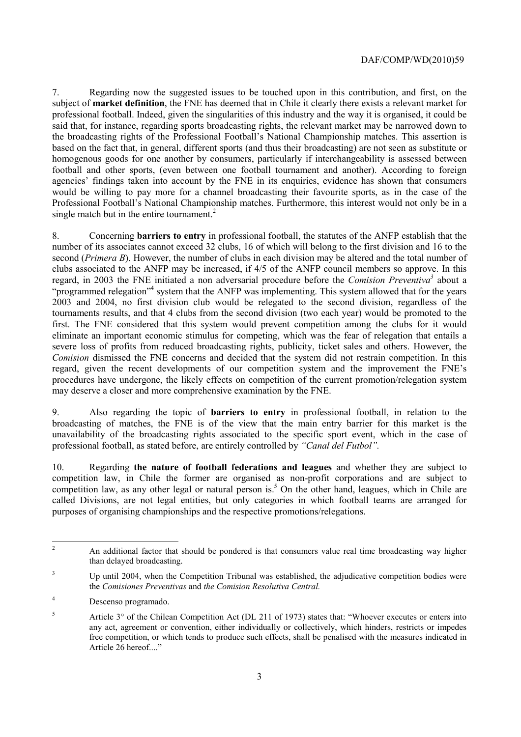### DAF/COMP/WD(2010)59

7. Regarding now the suggested issues to be touched upon in this contribution, and first, on the subject of **market definition**, the FNE has deemed that in Chile it clearly there exists a relevant market for professional football. Indeed, given the singularities of this industry and the way it is organised, it could be said that, for instance, regarding sports broadcasting rights, the relevant market may be narrowed down to the broadcasting rights of the Professional Football's National Championship matches. This assertion is based on the fact that, in general, different sports (and thus their broadcasting) are not seen as substitute or homogenous goods for one another by consumers, particularly if interchangeability is assessed between football and other sports, (even between one football tournament and another). According to foreign agencies' findings taken into account by the FNE in its enquiries, evidence has shown that consumers would be willing to pay more for a channel broadcasting their favourite sports, as in the case of the Professional Football's National Championship matches. Furthermore, this interest would not only be in a single match but in the entire tournament.<sup>2</sup>

8. Concerning **barriers to entry** in professional football, the statutes of the ANFP establish that the number of its associates cannot exceed 32 clubs, 16 of which will belong to the first division and 16 to the second (*Primera B*). However, the number of clubs in each division may be altered and the total number of clubs associated to the ANFP may be increased, if 4/5 of the ANFP council members so approve. In this regard, in 2003 the FNE initiated a non adversarial procedure before the *Comision Preventiva*<sup>3</sup> about a "programmed relegation"<sup>4</sup> system that the ANFP was implementing. This system allowed that for the years 2003 and 2004, no first division club would be relegated to the second division, regardless of the tournaments results, and that 4 clubs from the second division (two each year) would be promoted to the first. The FNE considered that this system would prevent competition among the clubs for it would eliminate an important economic stimulus for competing, which was the fear of relegation that entails a severe loss of profits from reduced broadcasting rights, publicity, ticket sales and others. However, the *Comision* dismissed the FNE concerns and decided that the system did not restrain competition. In this regard, given the recent developments of our competition system and the improvement the FNE's procedures have undergone, the likely effects on competition of the current promotion/relegation system may deserve a closer and more comprehensive examination by the FNE.

9. Also regarding the topic of **barriers to entry** in professional football, in relation to the broadcasting of matches, the FNE is of the view that the main entry barrier for this market is the unavailability of the broadcasting rights associated to the specific sport event, which in the case of professional football, as stated before, are entirely controlled by *"Canal del Futbol".*

10. Regarding **the nature of football federations and leagues** and whether they are subject to competition law, in Chile the former are organised as non-profit corporations and are subject to competition law, as any other legal or natural person is.<sup>5</sup> On the other hand, leagues, which in Chile are called Divisions, are not legal entities, but only categories in which football teams are arranged for purposes of organising championships and the respective promotions/relegations.

 $\overline{c}$ 2 An additional factor that should be pondered is that consumers value real time broadcasting way higher than delayed broadcasting.

<sup>3</sup> Up until 2004, when the Competition Tribunal was established, the adjudicative competition bodies were the *Comisiones Preventivas* and *the Comision Resolutiva Central.* 

<sup>4</sup> Descenso programado.

<sup>5</sup> Article 3° of the Chilean Competition Act (DL 211 of 1973) states that: "Whoever executes or enters into any act, agreement or convention, either individually or collectively, which hinders, restricts or impedes free competition, or which tends to produce such effects, shall be penalised with the measures indicated in Article 26 hereof...."